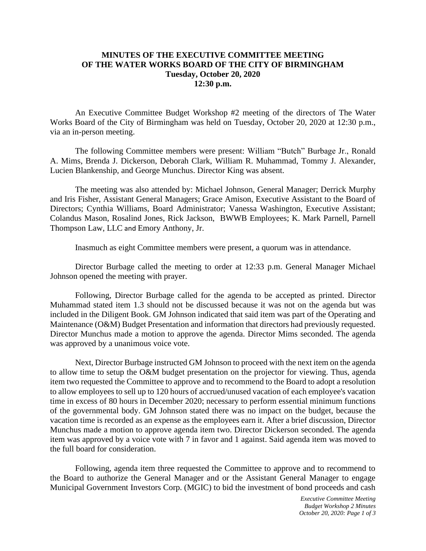## **MINUTES OF THE EXECUTIVE COMMITTEE MEETING OF THE WATER WORKS BOARD OF THE CITY OF BIRMINGHAM Tuesday, October 20, 2020 12:30 p.m.**

An Executive Committee Budget Workshop #2 meeting of the directors of The Water Works Board of the City of Birmingham was held on Tuesday, October 20, 2020 at 12:30 p.m., via an in-person meeting.

The following Committee members were present: William "Butch" Burbage Jr., Ronald A. Mims, Brenda J. Dickerson, Deborah Clark, William R. Muhammad, Tommy J. Alexander, Lucien Blankenship, and George Munchus. Director King was absent.

The meeting was also attended by: Michael Johnson, General Manager; Derrick Murphy and Iris Fisher, Assistant General Managers; Grace Amison, Executive Assistant to the Board of Directors; Cynthia Williams, Board Administrator; Vanessa Washington, Executive Assistant; Colandus Mason, Rosalind Jones, Rick Jackson, BWWB Employees; K. Mark Parnell, Parnell Thompson Law, LLC and Emory Anthony, Jr.

Inasmuch as eight Committee members were present, a quorum was in attendance.

Director Burbage called the meeting to order at 12:33 p.m. General Manager Michael Johnson opened the meeting with prayer.

Following, Director Burbage called for the agenda to be accepted as printed. Director Muhammad stated item 1.3 should not be discussed because it was not on the agenda but was included in the Diligent Book. GM Johnson indicated that said item was part of the Operating and Maintenance (O&M) Budget Presentation and information that directors had previously requested. Director Munchus made a motion to approve the agenda. Director Mims seconded. The agenda was approved by a unanimous voice vote.

Next, Director Burbage instructed GM Johnson to proceed with the next item on the agenda to allow time to setup the O&M budget presentation on the projector for viewing. Thus, agenda item two requested the Committee to approve and to recommend to the Board to adopt a resolution to allow employees to sell up to 120 hours of accrued/unused vacation of each employee's vacation time in excess of 80 hours in December 2020; necessary to perform essential minimum functions of the governmental body. GM Johnson stated there was no impact on the budget, because the vacation time is recorded as an expense as the employees earn it. After a brief discussion, Director Munchus made a motion to approve agenda item two. Director Dickerson seconded. The agenda item was approved by a voice vote with 7 in favor and 1 against. Said agenda item was moved to the full board for consideration.

Following, agenda item three requested the Committee to approve and to recommend to the Board to authorize the General Manager and or the Assistant General Manager to engage Municipal Government Investors Corp. (MGIC) to bid the investment of bond proceeds and cash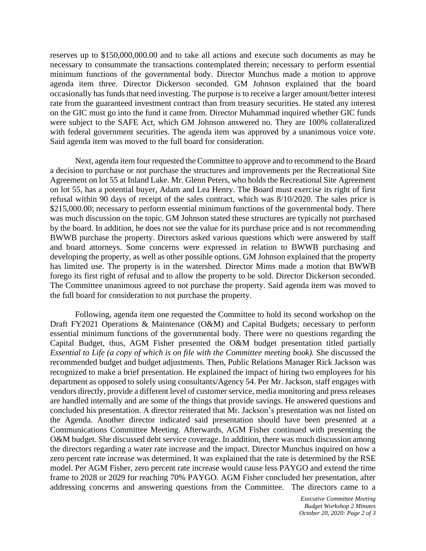reserves up to \$150,000,000.00 and to take all actions and execute such documents as may be necessary to consummate the transactions contemplated therein; necessary to perform essential minimum functions of the governmental body. Director Munchus made a motion to approve agenda item three. Director Dickerson seconded. GM Johnson explained that the board occasionally has funds that need investing. The purpose is to receive a larger amount/better interest rate from the guaranteed investment contract than from treasury securities. He stated any interest on the GIC must go into the fund it came from. Director Muhammad inquired whether GIC funds were subject to the SAFE Act, which GM Johnson answered no. They are 100% collateralized with federal government securities. The agenda item was approved by a unanimous voice vote. Said agenda item was moved to the full board for consideration.

Next, agenda item four requested the Committee to approve and to recommend to the Board a decision to purchase or not purchase the structures and improvements per the Recreational Site Agreement on lot 55 at Inland Lake. Mr. Glenn Peters, who holds the Recreational Site Agreement on lot 55, has a potential buyer, Adam and Lea Henry. The Board must exercise its right of first refusal within 90 days of receipt of the sales contract, which was 8/10/2020. The sales price is \$215,000.00; necessary to perform essential minimum functions of the governmental body. There was much discussion on the topic. GM Johnson stated these structures are typically not purchased by the board. In addition, he does not see the value for its purchase price and is not recommending BWWB purchase the property. Directors asked various questions which were answered by staff and board attorneys. Some concerns were expressed in relation to BWWB purchasing and developing the property, as well as other possible options. GM Johnson explained that the property has limited use. The property is in the watershed. Director Mims made a motion that BWWB forego its first right of refusal and to allow the property to be sold. Director Dickerson seconded. The Committee unanimous agreed to not purchase the property. Said agenda item was moved to the full board for consideration to not purchase the property.

Following, agenda item one requested the Committee to hold its second workshop on the Draft FY2021 Operations & Maintenance (O&M) and Capital Budgets; necessary to perform essential minimum functions of the governmental body. There were no questions regarding the Capital Budget, thus, AGM Fisher presented the O&M budget presentation titled partially *Essential to Life (a copy of which is on file with the Committee meeting book).* She discussed the recommended budget and budget adjustments. Then, Public Relations Manager Rick Jackson was recognized to make a brief presentation. He explained the impact of hiring two employees for his department as opposed to solely using consultants/Agency 54. Per Mr. Jackson, staff engages with vendors directly, provide a different level of customer service, media monitoring and press releases are handled internally and are some of the things that provide savings. He answered questions and concluded his presentation. A director reiterated that Mr. Jackson's presentation was not listed on the Agenda. Another director indicated said presentation should have been presented at a Communications Committee Meeting. Afterwards, AGM Fisher continued with presenting the O&M budget. She discussed debt service coverage. In addition, there was much discussion among the directors regarding a water rate increase and the impact. Director Munchus inquired on how a zero percent rate increase was determined. It was explained that the rate is determined by the RSE model. Per AGM Fisher, zero percent rate increase would cause less PAYGO and extend the time frame to 2028 or 2029 for reaching 70% PAYGO. AGM Fisher concluded her presentation, after addressing concerns and answering questions from the Committee. The directors came to a